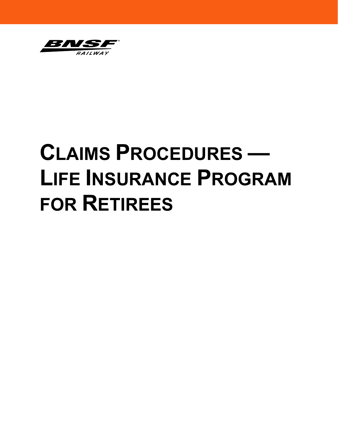

# **CLAIMS PROCEDURES — LIFE INSURANCE PROGRAM FOR RETIREES**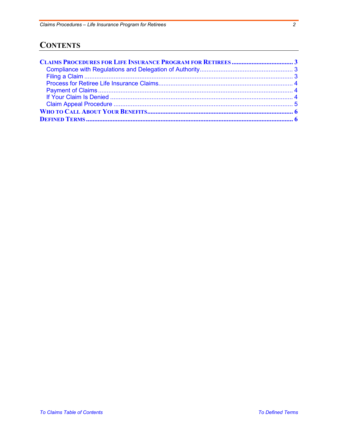# <span id="page-1-0"></span>**CONTENTS**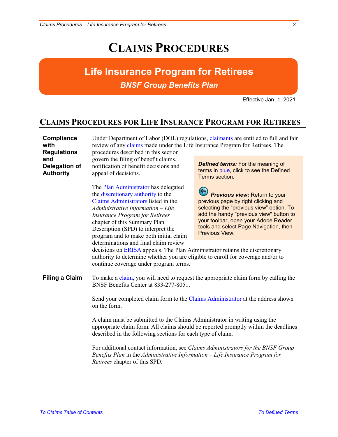# **CLAIMS PROCEDURES**

# **Life Insurance Program for Retirees** *BNSF Group Benefits Plan*

Effective Jan. 1, 2021

## <span id="page-2-0"></span>**CLAIMS PROCEDURES FOR LIFE INSURANCE PROGRAM FOR RETIREES**

<span id="page-2-1"></span>

| Compliance         | Under Department of Labor (DOL) regulations, claimants are entitled to full and fair                                                                                                                                                                                                                             |                                                                                                                                                                                                                                                                 |
|--------------------|------------------------------------------------------------------------------------------------------------------------------------------------------------------------------------------------------------------------------------------------------------------------------------------------------------------|-----------------------------------------------------------------------------------------------------------------------------------------------------------------------------------------------------------------------------------------------------------------|
| with               | review of any claims made under the Life Insurance Program for Retirees. The                                                                                                                                                                                                                                     |                                                                                                                                                                                                                                                                 |
| <b>Regulations</b> | procedures described in this section                                                                                                                                                                                                                                                                             |                                                                                                                                                                                                                                                                 |
| and                | govern the filing of benefit claims,                                                                                                                                                                                                                                                                             | <b>Defined terms:</b> For the meaning of                                                                                                                                                                                                                        |
| Delegation of      | notification of benefit decisions and                                                                                                                                                                                                                                                                            | terms in blue, click to see the Defined                                                                                                                                                                                                                         |
| <b>Authority</b>   | appeal of decisions.                                                                                                                                                                                                                                                                                             | Terms section.                                                                                                                                                                                                                                                  |
|                    | The Plan Administrator has delegated<br>the discretionary authority to the<br>Claims Administrators listed in the<br>$Administrative\ Information-Life$<br><b>Insurance Program for Retirees</b><br>chapter of this Summary Plan<br>Description (SPD) to interpret the<br>program and to make both initial claim | Previous view: Return to your<br>previous page by right clicking and<br>selecting the "previous view" option. To<br>add the handy "previous view" button to<br>your toolbar, open your Adobe Reader<br>tools and select Page Navigation, then<br>Previous View. |
|                    | determinations and final claim review                                                                                                                                                                                                                                                                            |                                                                                                                                                                                                                                                                 |

decisions on [ERISA a](#page-6-2)ppeals. The Plan Administrator retains the discretionary authority to determine whether you are eligible to enroll for coverage and/or to continue coverage under program terms.

<span id="page-2-2"></span>**Filing a Claim** To make a [claim,](#page-5-3) you will need to request the appropriate claim form by calling the BNSF Benefits Center at 833-277-8051.

> Send your completed claim form to the [Claims Administrator](#page-5-4) at the address shown on the form.

A claim must be submitted to the Claims Administrator in writing using the appropriate claim form. All claims should be reported promptly within the deadlines described in the following sections for each type of claim.

For additional contact information, see *Claims Administrators for the BNSF Group Benefits Plan* in the *Administrative Information – Life Insurance Program for Retirees* chapter of this SPD.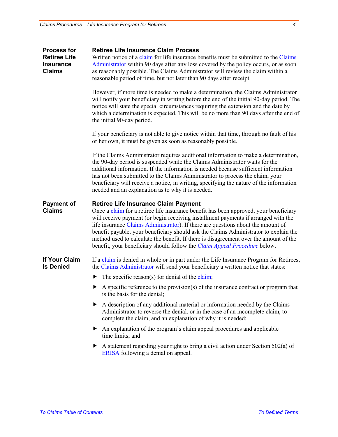<span id="page-3-2"></span><span id="page-3-1"></span><span id="page-3-0"></span>

| <b>Process for</b><br><b>Retiree Life</b><br><b>Insurance</b><br><b>Claims</b> | <b>Retiree Life Insurance Claim Process</b><br>Written notice of a claim for life insurance benefits must be submitted to the Claims<br>Administrator within 90 days after any loss covered by the policy occurs, or as soon<br>as reasonably possible. The Claims Administrator will review the claim within a<br>reasonable period of time, but not later than 90 days after receipt.                                                                                                                                                                                             |  |
|--------------------------------------------------------------------------------|-------------------------------------------------------------------------------------------------------------------------------------------------------------------------------------------------------------------------------------------------------------------------------------------------------------------------------------------------------------------------------------------------------------------------------------------------------------------------------------------------------------------------------------------------------------------------------------|--|
|                                                                                | However, if more time is needed to make a determination, the Claims Administrator<br>will notify your beneficiary in writing before the end of the initial 90-day period. The<br>notice will state the special circumstances requiring the extension and the date by<br>which a determination is expected. This will be no more than 90 days after the end of<br>the initial 90-day period.                                                                                                                                                                                         |  |
|                                                                                | If your beneficiary is not able to give notice within that time, through no fault of his<br>or her own, it must be given as soon as reasonably possible.                                                                                                                                                                                                                                                                                                                                                                                                                            |  |
|                                                                                | If the Claims Administrator requires additional information to make a determination,<br>the 90-day period is suspended while the Claims Administrator waits for the<br>additional information. If the information is needed because sufficient information<br>has not been submitted to the Claims Administrator to process the claim, your<br>beneficiary will receive a notice, in writing, specifying the nature of the information<br>needed and an explanation as to why it is needed.                                                                                         |  |
| <b>Payment of</b><br><b>Claims</b>                                             | <b>Retiree Life Insurance Claim Payment</b><br>Once a claim for a retiree life insurance benefit has been approved, your beneficiary<br>will receive payment (or begin receiving installment payments if arranged with the<br>life insurance Claims Administrator). If there are questions about the amount of<br>benefit payable, your beneficiary should ask the Claims Administrator to explain the<br>method used to calculate the benefit. If there is disagreement over the amount of the<br>benefit, your beneficiary should follow the <i>Claim Appeal Procedure</i> below. |  |
| <b>If Your Claim</b><br><b>Is Denied</b>                                       | If a claim is denied in whole or in part under the Life Insurance Program for Retirees,<br>the Claims Administrator will send your beneficiary a written notice that states:                                                                                                                                                                                                                                                                                                                                                                                                        |  |
|                                                                                | The specific reason(s) for denial of the claim;<br>▶                                                                                                                                                                                                                                                                                                                                                                                                                                                                                                                                |  |
|                                                                                | $\blacktriangleright$ A specific reference to the provision(s) of the insurance contract or program that<br>is the basis for the denial;                                                                                                                                                                                                                                                                                                                                                                                                                                            |  |
|                                                                                | A description of any additional material or information needed by the Claims<br>▶<br>Administrator to reverse the denial, or in the case of an incomplete claim, to<br>complete the claim, and an explanation of why it is needed;                                                                                                                                                                                                                                                                                                                                                  |  |
|                                                                                | An explanation of the program's claim appeal procedures and applicable<br>▶<br>time limits; and                                                                                                                                                                                                                                                                                                                                                                                                                                                                                     |  |
|                                                                                | A statement regarding your right to bring a civil action under Section 502(a) of<br>ERISA following a denial on appeal.                                                                                                                                                                                                                                                                                                                                                                                                                                                             |  |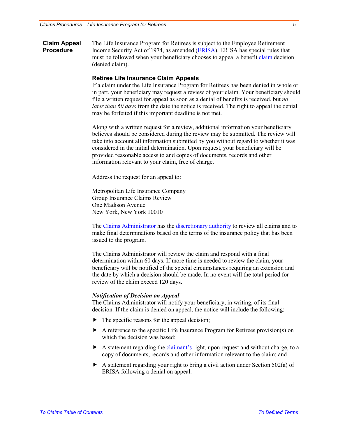<span id="page-4-0"></span>**Claim Appeal Procedure** The Life Insurance Program for Retirees is subject to the Employee Retirement Income Security Act of 1974, as amended [\(ERISA\)](#page-6-2). ERISA has special rules that must be followed when your beneficiary chooses to appeal a benefit [claim](#page-5-3) decision (denied claim).

#### **Retiree Life Insurance Claim Appeals**

If a claim under the Life Insurance Program for Retirees has been denied in whole or in part, your beneficiary may request a review of your claim. Your beneficiary should file a written request for appeal as soon as a denial of benefits is received, but *no later than 60 days* from the date the notice is received. The right to appeal the denial may be forfeited if this important deadline is not met.

Along with a written request for a review, additional information your beneficiary believes should be considered during the review may be submitted. The review will take into account all information submitted by you without regard to whether it was considered in the initial determination. Upon request, your beneficiary will be provided reasonable access to and copies of documents, records and other information relevant to your claim, free of charge.

Address the request for an appeal to:

Metropolitan Life Insurance Company Group Insurance Claims Review One Madison Avenue New York, New York 10010

The [Claims Administrator](#page-5-4) has the [discretionary authority](#page-6-1) to review all claims and to make final determinations based on the terms of the insurance policy that has been issued to the program.

The Claims Administrator will review the claim and respond with a final determination within 60 days. If more time is needed to review the claim, your beneficiary will be notified of the special circumstances requiring an extension and the date by which a decision should be made. In no event will the total period for review of the claim exceed 120 days.

#### *Notification of Decision on Appeal*

The Claims Administrator will notify your beneficiary, in writing, of its final decision. If the claim is denied on appeal, the notice will include the following:

- $\blacktriangleright$  The specific reasons for the appeal decision;
- A reference to the specific Life Insurance Program for Retirees provision(s) on which the decision was based;
- $\blacktriangleright$  A statement regarding th[e claimant's r](#page-5-2)ight, upon request and without charge, to a copy of documents, records and other information relevant to the claim; and
- A statement regarding your right to bring a civil action under Section 502(a) of ERISA following a denial on appeal.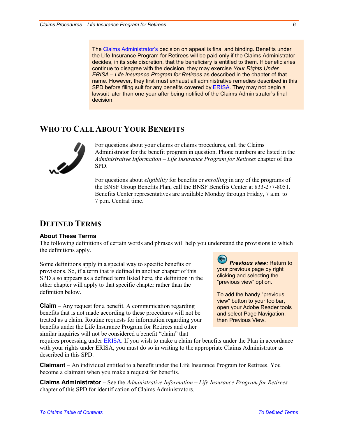The [Claims Administrator's](#page-5-4) decision on appeal is final and binding. Benefits under the Life Insurance Program for Retirees will be paid only if the Claims Administrator decides, in its sole discretion, that the beneficiary is entitled to them. If beneficiaries continue to disagree with the decision, they may exercise *Your Rights Under ERISA – Life Insurance Program for Retirees* as described in the chapter of that name. However, they first must exhaust all administrative remedies described in this SPD before filing suit for any benefits covered by [ERISA.](#page-6-2) They may not begin a lawsuit later than one year after being notified of the Claims Administrator's final decision.

### <span id="page-5-1"></span>**WHO TO CALL ABOUT YOUR BENEFITS**



For questions about your claims or claims procedures, call the Claims Administrator for the benefit program in question. Phone numbers are listed in the *Administrative Information* – *Life Insurance Program for Retirees* chapter of this SPD.

For questions about *eligibility* for benefits or *enrolling* in any of the programs of the BNSF Group Benefits Plan, call the BNSF Benefits Center at 833-277-8051. Benefits Center representatives are available Monday through Friday, 7 a.m. to 7 p.m. Central time.

## <span id="page-5-0"></span>**DEFINED TERMS**

#### **About These Terms**

The following definitions of certain words and phrases will help you understand the provisions to which the definitions apply.

Some definitions apply in a special way to specific benefits or provisions. So, if a term that is defined in another chapter of this SPD also appears as a defined term listed here, the definition in the other chapter will apply to that specific chapter rather than the definition below.

<span id="page-5-3"></span>**Claim** – Any request for a benefit. A communication regarding benefits that is not made according to these procedures will not be treated as a claim. Routine requests for information regarding your benefits under the Life Insurance Program for Retirees and other similar inquiries will not be considered a benefit "claim" that

*Previous view:* Return to your previous page by right clicking and selecting the "previous view" option.

To add the handy "previous view" button to your toolbar, open your Adobe Reader tools and select Page Navigation, then Previous View.

requires processing under [ERISA.](#page-6-2) If you wish to make a claim for benefits under the Plan in accordance with your rights under ERISA, you must do so in writing to the appropriate Claims Administrator as described in this SPD.

<span id="page-5-2"></span>**Claimant** – An individual entitled to a benefit under the Life Insurance Program for Retirees. You become a claimant when you make a request for benefits.

<span id="page-5-4"></span>**Claims Administrator** – See the *Administrative Information* – *Life Insurance Program for Retirees* chapter of this SPD for identification of Claims Administrators.